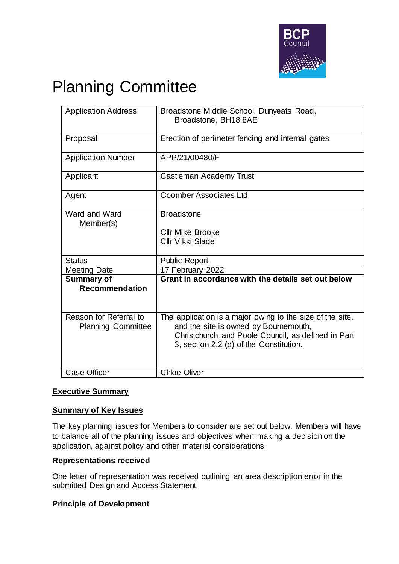

# Planning Committee

| <b>Application Address</b>                          | Broadstone Middle School, Dunyeats Road,<br>Broadstone, BH18 8AE                                                                                                                                    |
|-----------------------------------------------------|-----------------------------------------------------------------------------------------------------------------------------------------------------------------------------------------------------|
| Proposal                                            | Erection of perimeter fencing and internal gates                                                                                                                                                    |
| <b>Application Number</b>                           | APP/21/00480/F                                                                                                                                                                                      |
| Applicant                                           | Castleman Academy Trust                                                                                                                                                                             |
| Agent                                               | <b>Coomber Associates Ltd</b>                                                                                                                                                                       |
| Ward and Ward<br>Member(s)                          | <b>Broadstone</b><br><b>Cllr Mike Brooke</b><br><b>Cllr Vikki Slade</b>                                                                                                                             |
| <b>Status</b>                                       | <b>Public Report</b>                                                                                                                                                                                |
| <b>Meeting Date</b>                                 | 17 February 2022                                                                                                                                                                                    |
| <b>Summary of</b><br><b>Recommendation</b>          | Grant in accordance with the details set out below                                                                                                                                                  |
| Reason for Referral to<br><b>Planning Committee</b> | The application is a major owing to the size of the site,<br>and the site is owned by Bournemouth,<br>Christchurch and Poole Council, as defined in Part<br>3, section 2.2 (d) of the Constitution. |
| <b>Case Officer</b>                                 | <b>Chloe Oliver</b>                                                                                                                                                                                 |

## **Executive Summary**

#### **Summary of Key Issues**

The key planning issues for Members to consider are set out below. Members will have to balance all of the planning issues and objectives when making a decision on the application, against policy and other material considerations.

#### **Representations received**

One letter of representation was received outlining an area description error in the submitted Design and Access Statement.

#### **Principle of Development**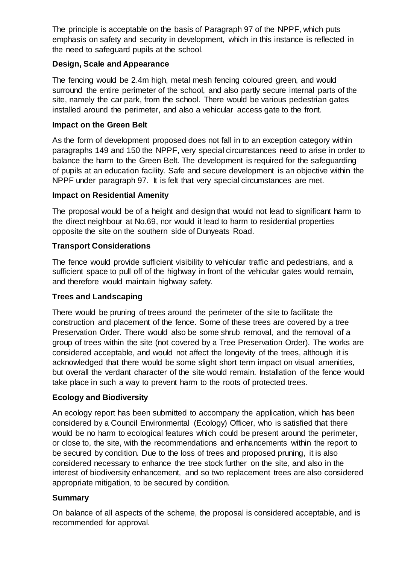The principle is acceptable on the basis of Paragraph 97 of the NPPF, which puts emphasis on safety and security in development, which in this instance is reflected in the need to safeguard pupils at the school.

## **Design, Scale and Appearance**

The fencing would be 2.4m high, metal mesh fencing coloured green, and would surround the entire perimeter of the school, and also partly secure internal parts of the site, namely the car park, from the school. There would be various pedestrian gates installed around the perimeter, and also a vehicular access gate to the front.

## **Impact on the Green Belt**

As the form of development proposed does not fall in to an exception category within paragraphs 149 and 150 the NPPF, very special circumstances need to arise in order to balance the harm to the Green Belt. The development is required for the safeguarding of pupils at an education facility. Safe and secure development is an objective within the NPPF under paragraph 97. It is felt that very special circumstances are met.

# **Impact on Residential Amenity**

The proposal would be of a height and design that would not lead to significant harm to the direct neighbour at No.69, nor would it lead to harm to residential properties opposite the site on the southern side of Dunyeats Road.

# **Transport Considerations**

The fence would provide sufficient visibility to vehicular traffic and pedestrians, and a sufficient space to pull off of the highway in front of the vehicular gates would remain, and therefore would maintain highway safety.

# **Trees and Landscaping**

There would be pruning of trees around the perimeter of the site to facilitate the construction and placement of the fence. Some of these trees are covered by a tree Preservation Order. There would also be some shrub removal, and the removal of a group of trees within the site (not covered by a Tree Preservation Order). The works are considered acceptable, and would not affect the longevity of the trees, although it is acknowledged that there would be some slight short term impact on visual amenities, but overall the verdant character of the site would remain. Installation of the fence would take place in such a way to prevent harm to the roots of protected trees.

## **Ecology and Biodiversity**

An ecology report has been submitted to accompany the application, which has been considered by a Council Environmental (Ecology) Officer, who is satisfied that there would be no harm to ecological features which could be present around the perimeter, or close to, the site, with the recommendations and enhancements within the report to be secured by condition. Due to the loss of trees and proposed pruning, it is also considered necessary to enhance the tree stock further on the site, and also in the interest of biodiversity enhancement, and so two replacement trees are also considered appropriate mitigation, to be secured by condition.

# **Summary**

On balance of all aspects of the scheme, the proposal is considered acceptable, and is recommended for approval.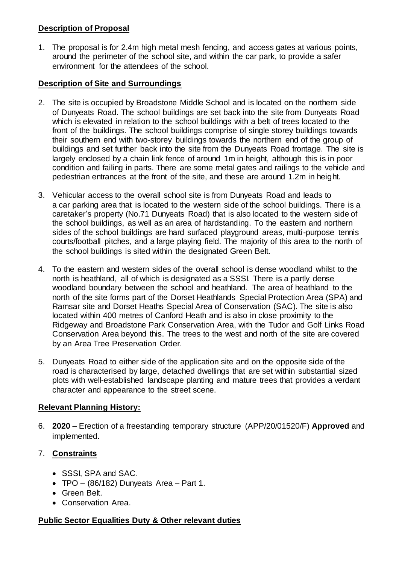## **Description of Proposal**

1. The proposal is for 2.4m high metal mesh fencing, and access gates at various points, around the perimeter of the school site, and within the car park, to provide a safer environment for the attendees of the school.

## **Description of Site and Surroundings**

- 2. The site is occupied by Broadstone Middle School and is located on the northern side of Dunyeats Road. The school buildings are set back into the site from Dunyeats Road which is elevated in relation to the school buildings with a belt of trees located to the front of the buildings. The school buildings comprise of single storey buildings towards their southern end with two-storey buildings towards the northern end of the group of buildings and set further back into the site from the Dunyeats Road frontage. The site is largely enclosed by a chain link fence of around 1m in height, although this is in poor condition and failing in parts. There are some metal gates and railings to the vehicle and pedestrian entrances at the front of the site, and these are around 1.2m in height.
- 3. Vehicular access to the overall school site is from Dunyeats Road and leads to a car parking area that is located to the western side of the school buildings. There is a caretaker's property (No.71 Dunyeats Road) that is also located to the western side of the school buildings, as well as an area of hardstanding. To the eastern and northern sides of the school buildings are hard surfaced playground areas, multi-purpose tennis courts/football pitches, and a large playing field. The majority of this area to the north of the school buildings is sited within the designated Green Belt.
- 4. To the eastern and western sides of the overall school is dense woodland whilst to the north is heathland, all of which is designated as a SSSI. There is a partly dense woodland boundary between the school and heathland. The area of heathland to the north of the site forms part of the Dorset Heathlands Special Protection Area (SPA) and Ramsar site and Dorset Heaths Special Area of Conservation (SAC). The site is also located within 400 metres of Canford Heath and is also in close proximity to the Ridgeway and Broadstone Park Conservation Area, with the Tudor and Golf Links Road Conservation Area beyond this. The trees to the west and north of the site are covered by an Area Tree Preservation Order.
- 5. Dunyeats Road to either side of the application site and on the opposite side of the road is characterised by large, detached dwellings that are set within substantial sized plots with well-established landscape planting and mature trees that provides a verdant character and appearance to the street scene.

## **Relevant Planning History:**

6. **2020** – Erection of a freestanding temporary structure (APP/20/01520/F) **Approved** and implemented.

## 7. **Constraints**

- SSSI, SPA and SAC.
- TPO  $(86/182)$  Dunyeats Area Part 1.
- Green Belt.
- Conservation Area.

## **Public Sector Equalities Duty & Other relevant duties**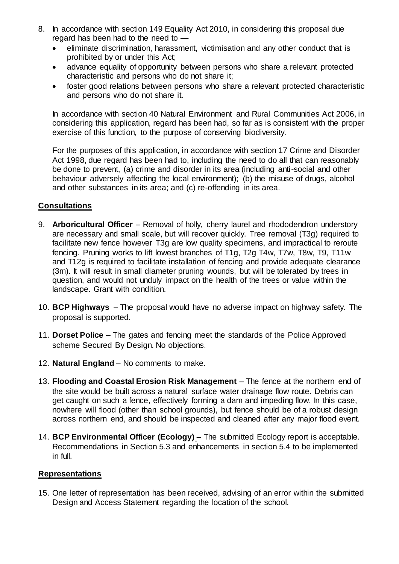- 8. In accordance with section 149 Equality Act 2010, in considering this proposal due regard has been had to the need to
	- eliminate discrimination, harassment, victimisation and any other conduct that is prohibited by or under this Act;
	- advance equality of opportunity between persons who share a relevant protected characteristic and persons who do not share it;
	- foster good relations between persons who share a relevant protected characteristic and persons who do not share it.

In accordance with section 40 Natural Environment and Rural Communities Act 2006, in considering this application, regard has been had, so far as is consistent with the proper exercise of this function, to the purpose of conserving biodiversity.

For the purposes of this application, in accordance with section 17 Crime and Disorder Act 1998, due regard has been had to, including the need to do all that can reasonably be done to prevent, (a) crime and disorder in its area (including anti-social and other behaviour adversely affecting the local environment); (b) the misuse of drugs, alcohol and other substances in its area; and (c) re-offending in its area.

## **Consultations**

- 9. **Arboricultural Officer** Removal of holly, cherry laurel and rhododendron understory are necessary and small scale, but will recover quickly. Tree removal (T3g) required to facilitate new fence however T3g are low quality specimens, and impractical to reroute fencing. Pruning works to lift lowest branches of T1g, T2g T4w, T7w, T8w, T9, T11w and T12g is required to facilitate installation of fencing and provide adequate clearance (3m). It will result in small diameter pruning wounds, but will be tolerated by trees in question, and would not unduly impact on the health of the trees or value within the landscape. Grant with condition.
- 10. **BCP Highways**  The proposal would have no adverse impact on highway safety. The proposal is supported.
- 11. **Dorset Police** The gates and fencing meet the standards of the Police Approved scheme Secured By Design. No objections.
- 12. **Natural England** No comments to make.
- 13. **Flooding and Coastal Erosion Risk Management** The fence at the northern end of the site would be built across a natural surface water drainage flow route. Debris can get caught on such a fence, effectively forming a dam and impeding flow. In this case, nowhere will flood (other than school grounds), but fence should be of a robust design across northern end, and should be inspected and cleaned after any major flood event.
- 14. **BCP Environmental Officer (Ecology)** The submitted Ecology report is acceptable. Recommendations in Section 5.3 and enhancements in section 5.4 to be implemented in full.

#### **Representations**

15. One letter of representation has been received, advising of an error within the submitted Design and Access Statement regarding the location of the school.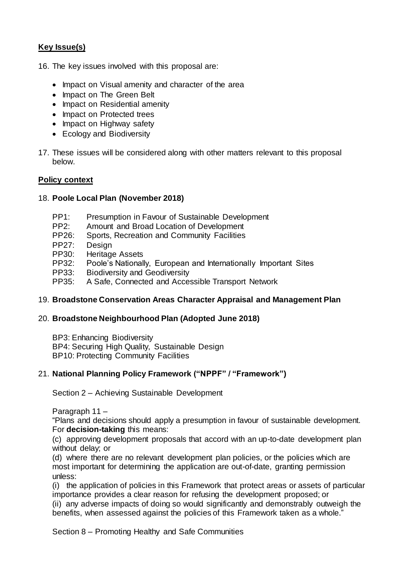# **Key Issue(s)**

- 16. The key issues involved with this proposal are:
	- Impact on Visual amenity and character of the area
	- Impact on The Green Belt
	- Impact on Residential amenity
	- Impact on Protected trees
	- Impact on Highway safety
	- Ecology and Biodiversity
- 17. These issues will be considered along with other matters relevant to this proposal below.

#### **Policy context**

## 18. **Poole Local Plan (November 2018)**

- PP1: Presumption in Favour of Sustainable Development
- PP2: Amount and Broad Location of Development
- PP26: Sports, Recreation and Community Facilities
- PP27: Design
- PP30: Heritage Assets
- PP32: Poole's Nationally, European and Internationally Important Sites
- PP33: Biodiversity and Geodiversity
- PP35: A Safe, Connected and Accessible Transport Network

## 19. **Broadstone Conservation Areas Character Appraisal and Management Plan**

#### 20. **Broadstone Neighbourhood Plan (Adopted June 2018)**

BP3: Enhancing Biodiversity BP4: Securing High Quality, Sustainable Design BP10: Protecting Community Facilities

## 21. **National Planning Policy Framework ("NPPF" / "Framework")**

Section 2 – Achieving Sustainable Development

Paragraph 11 –

"Plans and decisions should apply a presumption in favour of sustainable development. For **decision-taking** this means:

(c) approving development proposals that accord with an up-to-date development plan without delay; or

(d) where there are no relevant development plan policies, or the policies which are most important for determining the application are out-of-date, granting permission unless:

(i) the application of policies in this Framework that protect areas or assets of particular importance provides a clear reason for refusing the development proposed; or (ii) any adverse impacts of doing so would significantly and demonstrably outweigh the benefits, when assessed against the policies of this Framework taken as a whole."

Section 8 – Promoting Healthy and Safe Communities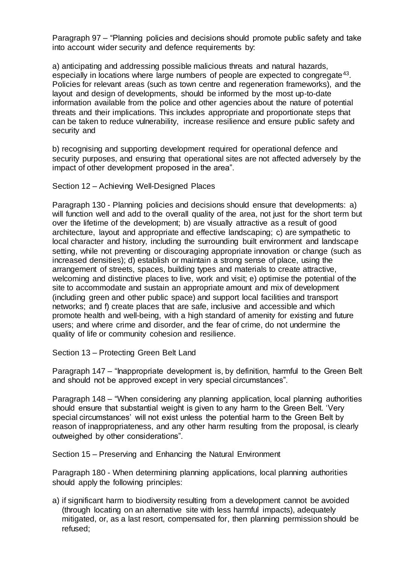Paragraph 97 – "Planning policies and decisions should promote public safety and take into account wider security and defence requirements by:

a) anticipating and addressing possible malicious threats and natural hazards, especially in locations where large numbers of people are expected to congregate<sup>43</sup>. Policies for relevant areas (such as town centre and regeneration frameworks), and the layout and design of developments, should be informed by the most up-to-date information available from the police and other agencies about the nature of potential threats and their implications. This includes appropriate and proportionate steps that can be taken to reduce vulnerability, increase resilience and ensure public safety and security and

b) recognising and supporting development required for operational defence and security purposes, and ensuring that operational sites are not affected adversely by the impact of other development proposed in the area".

Section 12 – Achieving Well-Designed Places

Paragraph 130 - Planning policies and decisions should ensure that developments: a) will function well and add to the overall quality of the area, not just for the short term but over the lifetime of the development; b) are visually attractive as a result of good architecture, layout and appropriate and effective landscaping; c) are sympathetic to local character and history, including the surrounding built environment and landscape setting, while not preventing or discouraging appropriate innovation or change (such as increased densities); d) establish or maintain a strong sense of place, using the arrangement of streets, spaces, building types and materials to create attractive, welcoming and distinctive places to live, work and visit; e) optimise the potential of the site to accommodate and sustain an appropriate amount and mix of development (including green and other public space) and support local facilities and transport networks; and f) create places that are safe, inclusive and accessible and which promote health and well-being, with a high standard of amenity for existing and future users; and where crime and disorder, and the fear of crime, do not undermine the quality of life or community cohesion and resilience.

Section 13 – Protecting Green Belt Land

Paragraph 147 – "Inappropriate development is, by definition, harmful to the Green Belt and should not be approved except in very special circumstances".

Paragraph 148 – "When considering any planning application, local planning authorities should ensure that substantial weight is given to any harm to the Green Belt. 'Very special circumstances' will not exist unless the potential harm to the Green Belt by reason of inappropriateness, and any other harm resulting from the proposal, is clearly outweighed by other considerations".

Section 15 – Preserving and Enhancing the Natural Environment

Paragraph 180 - When determining planning applications, local planning authorities should apply the following principles:

a) if significant harm to biodiversity resulting from a development cannot be avoided (through locating on an alternative site with less harmful impacts), adequately mitigated, or, as a last resort, compensated for, then planning permission should be refused;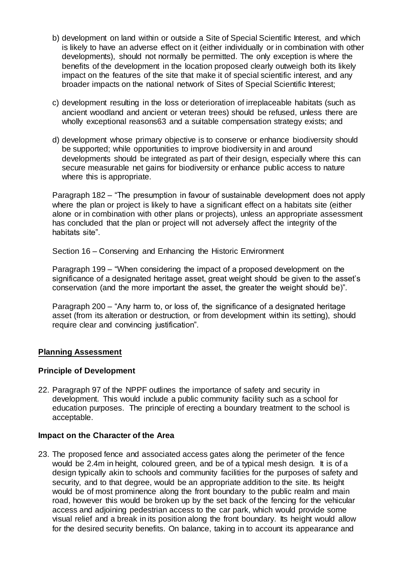- b) development on land within or outside a Site of Special Scientific Interest, and which is likely to have an adverse effect on it (either individually or in combination with other developments), should not normally be permitted. The only exception is where the benefits of the development in the location proposed clearly outweigh both its likely impact on the features of the site that make it of special scientific interest, and any broader impacts on the national network of Sites of Special Scientific Interest;
- c) development resulting in the loss or deterioration of irreplaceable habitats (such as ancient woodland and ancient or veteran trees) should be refused, unless there are wholly exceptional reasons63 and a suitable compensation strategy exists; and
- d) development whose primary objective is to conserve or enhance biodiversity should be supported; while opportunities to improve biodiversity in and around developments should be integrated as part of their design, especially where this can secure measurable net gains for biodiversity or enhance public access to nature where this is appropriate.

Paragraph 182 – "The presumption in favour of sustainable development does not apply where the plan or project is likely to have a significant effect on a habitats site (either alone or in combination with other plans or projects), unless an appropriate assessment has concluded that the plan or project will not adversely affect the integrity of the habitats site".

Section 16 – Conserving and Enhancing the Historic Environment

Paragraph 199 – "When considering the impact of a proposed development on the significance of a designated heritage asset, great weight should be given to the asset's conservation (and the more important the asset, the greater the weight should be)".

Paragraph 200 – "Any harm to, or loss of, the significance of a designated heritage asset (from its alteration or destruction, or from development within its setting), should require clear and convincing justification".

#### **Planning Assessment**

#### **Principle of Development**

22. Paragraph 97 of the NPPF outlines the importance of safety and security in development. This would include a public community facility such as a school for education purposes. The principle of erecting a boundary treatment to the school is acceptable.

#### **Impact on the Character of the Area**

23. The proposed fence and associated access gates along the perimeter of the fence would be 2.4m in height, coloured green, and be of a typical mesh design. It is of a design typically akin to schools and community facilities for the purposes of safety and security, and to that degree, would be an appropriate addition to the site. Its height would be of most prominence along the front boundary to the public realm and main road, however this would be broken up by the set back of the fencing for the vehicular access and adjoining pedestrian access to the car park, which would provide some visual relief and a break in its position along the front boundary. Its height would allow for the desired security benefits. On balance, taking in to account its appearance and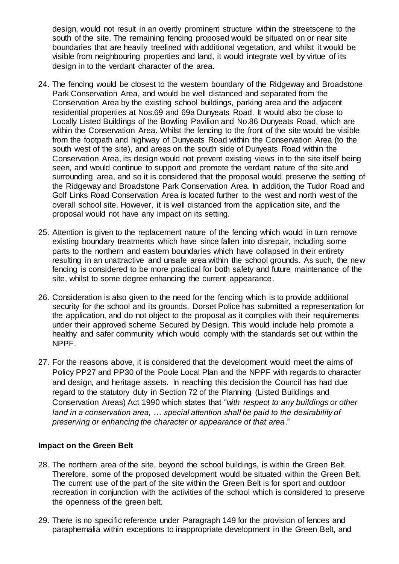design, would not result in an overtly prominent structure within the streetscene to the south of the site. The remaining fencing proposed would be situated on or near site boundaries that are heavily treelined with additional vegetation, and whilst it would be visible from neighbouring properties and land, it would integrate well by virtue of its design in to the verdant character of the area.

- 24. The fencing would be closest to the western boundary of the Ridgeway and Broadstone Park Conservation Area, and would be well distanced and separated from the Conservation Area by the existing school buildings, parking area and the adjacent residential properties at Nos.69 and 69a Dunyeats Road. It would also be close to Locally Listed Buildings of the Bowling Pavilion and No.86 Dunyeats Road, which are within the Conservation Area. Whilst the fencing to the front of the site would be visible from the footpath and highway of Dunyeats Road within the Conservation Area (to the south west of the site), and areas on the south side of Dunyeats Road within the Conservation Area, its design would not prevent existing views in to the site itself being seen, and would continue to support and promote the verdant nature of the site and surrounding area, and so it is considered that the proposal would preserve the setting of the Ridgeway and Broadstone Park Conservation Area. In addition, the Tudor Road and Golf Links Road Conservation Area is located further to the west and north west of the overall school site. However, it is well distanced from the application site, and the proposal would not have any impact on its setting.
- 25. Attention is given to the replacement nature of the fencing which would in turn remove existing boundary treatments which have since fallen into disrepair, including some parts to the northern and eastern boundaries which have collapsed in their entirety resulting in an unattractive and unsafe area within the school grounds. As such, the new fencing is considered to be more practical for both safety and future maintenance of the site, whilst to some degree enhancing the current appearance.
- 26. Consideration is also given to the need for the fencing which is to provide additional security for the school and its grounds. Dorset Police has submitted a representation for the application, and do not object to the proposal as it complies with their requirements under their approved scheme Secured by Design. This would include help promote a healthy and safer community which would comply with the standards set out within the NPPF.
- 27. For the reasons above, it is considered that the development would meet the aims of Policy PP27 and PP30 of the Poole Local Plan and the NPPF with regards to character and design, and heritage assets. In reaching this decision the Council has had due regard to the statutory duty in Section 72 of the Planning (Listed Buildings and Conservation Areas) Act 1990 which states that "*with respect to any buildings or other land in a conservation area, … special attention shall be paid to the desirability of preserving or enhancing the character or appearance of that area*."

#### **Impact on the Green Belt**

- 28. The northern area of the site, beyond the school buildings, is within the Green Belt. Therefore, some of the proposed development would be situated within the Green Belt. The current use of the part of the site within the Green Belt is for sport and outdoor recreation in conjunction with the activities of the school which is considered to preserve the openness of the green belt.
- 29. There is no specific reference under Paragraph 149 for the provision of fences and paraphernalia within exceptions to inappropriate development in the Green Belt, and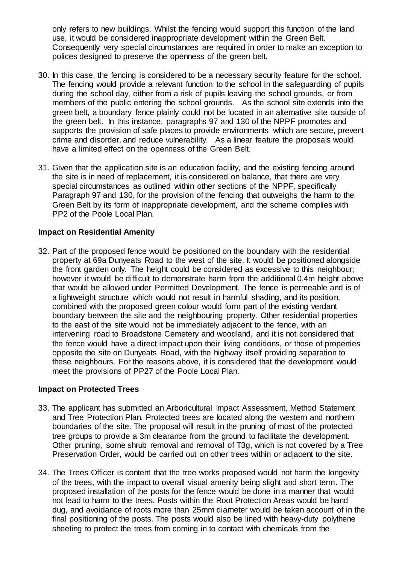only refers to new buildings. Whilst the fencing would support this function of the land use, it would be considered inappropriate development within the Green Belt. Consequently very special circumstances are required in order to make an exception to polices designed to preserve the openness of the green belt.

- 30. In this case, the fencing is considered to be a necessary security feature for the school. The fencing would provide a relevant function to the school in the safeguarding of pupils during the school day, either from a risk of pupils leaving the school grounds, or from members of the public entering the school grounds. As the school site extends into the green belt, a boundary fence plainly could not be located in an alternative site outside of the green belt. In this instance, paragraphs 97 and 130 of the NPPF promotes and supports the provision of safe places to provide environments which are secure, prevent crime and disorder, and reduce vulnerability. As a linear feature the proposals would have a limited effect on the openness of the Green Belt.
- 31. Given that the application site is an education facility, and the existing fencing around the site is in need of replacement, it is considered on balance, that there are very special circumstances as outlined within other sections of the NPPF, specifically Paragraph 97 and 130, for the provision of the fencing that outweighs the harm to the Green Belt by its form of inappropriate development, and the scheme complies with PP2 of the Poole Local Plan.

## **Impact on Residential Amenity**

32. Part of the proposed fence would be positioned on the boundary with the residential property at 69a Dunyeats Road to the west of the site. It would be positioned alongside the front garden only. The height could be considered as excessive to this neighbour; however it would be difficult to demonstrate harm from the additional 0.4m height above that would be allowed under Permitted Development. The fence is permeable and is of a lightweight structure which would not result in harmful shading, and its position, combined with the proposed green colour would form part of the existing verdant boundary between the site and the neighbouring property. Other residential properties to the east of the site would not be immediately adjacent to the fence, with an intervening road to Broadstone Cemetery and woodland, and it is not considered that the fence would have a direct impact upon their living conditions, or those of properties opposite the site on Dunyeats Road, with the highway itself providing separation to these neighbours. For the reasons above, it is considered that the development would meet the provisions of PP27 of the Poole Local Plan.

#### **Impact on Protected Trees**

- 33. The applicant has submitted an Arboricultural Impact Assessment, Method Statement and Tree Protection Plan. Protected trees are located along the western and northern boundaries of the site. The proposal will result in the pruning of most of the protected tree groups to provide a 3m clearance from the ground to facilitate the development. Other pruning, some shrub removal and removal of T3g, which is not covered by a Tree Preservation Order, would be carried out on other trees within or adjacent to the site.
- 34. The Trees Officer is content that the tree works proposed would not harm the longevity of the trees, with the impact to overall visual amenity being slight and short term. The proposed installation of the posts for the fence would be done in a manner that would not lead to harm to the trees. Posts within the Root Protection Areas would be hand dug, and avoidance of roots more than 25mm diameter would be taken account of in the final positioning of the posts. The posts would also be lined with heavy-duty polythene sheeting to protect the trees from coming in to contact with chemicals from the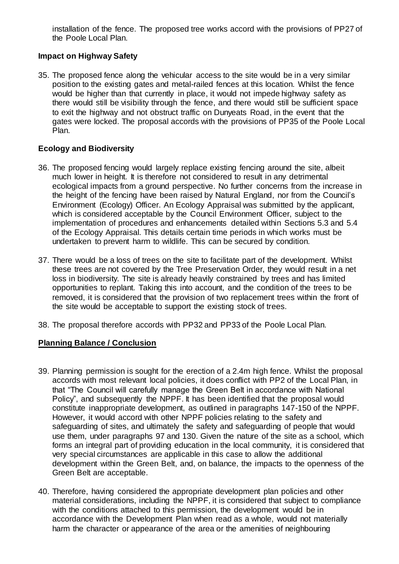installation of the fence. The proposed tree works accord with the provisions of PP27 of the Poole Local Plan.

## **Impact on Highway Safety**

35. The proposed fence along the vehicular access to the site would be in a very similar position to the existing gates and metal-railed fences at this location. Whilst the fence would be higher than that currently in place, it would not impede highway safety as there would still be visibility through the fence, and there would still be sufficient space to exit the highway and not obstruct traffic on Dunyeats Road, in the event that the gates were locked. The proposal accords with the provisions of PP35 of the Poole Local Plan.

# **Ecology and Biodiversity**

- 36. The proposed fencing would largely replace existing fencing around the site, albeit much lower in height. It is therefore not considered to result in any detrimental ecological impacts from a ground perspective. No further concerns from the increase in the height of the fencing have been raised by Natural England, nor from the Council's Environment (Ecology) Officer. An Ecology Appraisal was submitted by the applicant, which is considered acceptable by the Council Environment Officer, subject to the implementation of procedures and enhancements detailed within Sections 5.3 and 5.4 of the Ecology Appraisal. This details certain time periods in which works must be undertaken to prevent harm to wildlife. This can be secured by condition.
- 37. There would be a loss of trees on the site to facilitate part of the development. Whilst these trees are not covered by the Tree Preservation Order, they would result in a net loss in biodiversity. The site is already heavily constrained by trees and has limited opportunities to replant. Taking this into account, and the condition of the trees to be removed, it is considered that the provision of two replacement trees within the front of the site would be acceptable to support the existing stock of trees.
- 38. The proposal therefore accords with PP32 and PP33 of the Poole Local Plan.

## **Planning Balance / Conclusion**

- 39. Planning permission is sought for the erection of a 2.4m high fence. Whilst the proposal accords with most relevant local policies, it does conflict with PP2 of the Local Plan, in that "The Council will carefully manage the Green Belt in accordance with National Policy", and subsequently the NPPF. It has been identified that the proposal would constitute inappropriate development, as outlined in paragraphs 147-150 of the NPPF. However, it would accord with other NPPF policies relating to the safety and safeguarding of sites, and ultimately the safety and safeguarding of people that would use them, under paragraphs 97 and 130. Given the nature of the site as a school, which forms an integral part of providing education in the local community, it is considered that very special circumstances are applicable in this case to allow the additional development within the Green Belt, and, on balance, the impacts to the openness of the Green Belt are acceptable.
- 40. Therefore, having considered the appropriate development plan policies and other material considerations, including the NPPF, it is considered that subject to compliance with the conditions attached to this permission, the development would be in accordance with the Development Plan when read as a whole, would not materially harm the character or appearance of the area or the amenities of neighbouring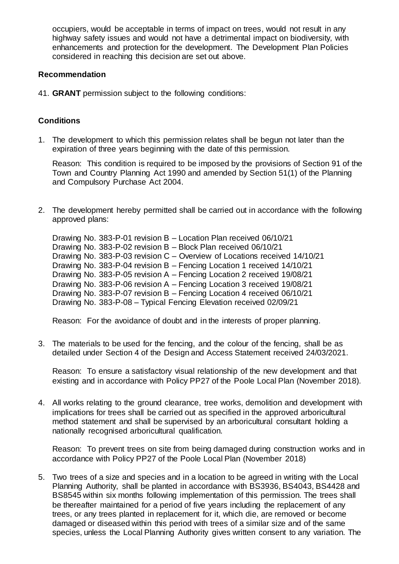occupiers, would be acceptable in terms of impact on trees, would not result in any highway safety issues and would not have a detrimental impact on biodiversity, with enhancements and protection for the development. The Development Plan Policies considered in reaching this decision are set out above.

#### **Recommendation**

41. **GRANT** permission subject to the following conditions:

## **Conditions**

1. The development to which this permission relates shall be begun not later than the expiration of three years beginning with the date of this permission.

Reason: This condition is required to be imposed by the provisions of Section 91 of the Town and Country Planning Act 1990 and amended by Section 51(1) of the Planning and Compulsory Purchase Act 2004.

2. The development hereby permitted shall be carried out in accordance with the following approved plans:

Drawing No. 383-P-01 revision B – Location Plan received 06/10/21 Drawing No. 383-P-02 revision B – Block Plan received 06/10/21 Drawing No. 383-P-03 revision C – Overview of Locations received 14/10/21 Drawing No. 383-P-04 revision B – Fencing Location 1 received 14/10/21 Drawing No. 383-P-05 revision A – Fencing Location 2 received 19/08/21 Drawing No. 383-P-06 revision A – Fencing Location 3 received 19/08/21 Drawing No. 383-P-07 revision B – Fencing Location 4 received 06/10/21 Drawing No. 383-P-08 – Typical Fencing Elevation received 02/09/21

Reason: For the avoidance of doubt and in the interests of proper planning.

3. The materials to be used for the fencing, and the colour of the fencing, shall be as detailed under Section 4 of the Design and Access Statement received 24/03/2021.

Reason: To ensure a satisfactory visual relationship of the new development and that existing and in accordance with Policy PP27 of the Poole Local Plan (November 2018).

4. All works relating to the ground clearance, tree works, demolition and development with implications for trees shall be carried out as specified in the approved arboricultural method statement and shall be supervised by an arboricultural consultant holding a nationally recognised arboricultural qualification.

Reason: To prevent trees on site from being damaged during construction works and in accordance with Policy PP27 of the Poole Local Plan (November 2018)

5. Two trees of a size and species and in a location to be agreed in writing with the Local Planning Authority, shall be planted in accordance with BS3936, BS4043, BS4428 and BS8545 within six months following implementation of this permission. The trees shall be thereafter maintained for a period of five years including the replacement of any trees, or any trees planted in replacement for it, which die, are removed or become damaged or diseased within this period with trees of a similar size and of the same species, unless the Local Planning Authority gives written consent to any variation. The